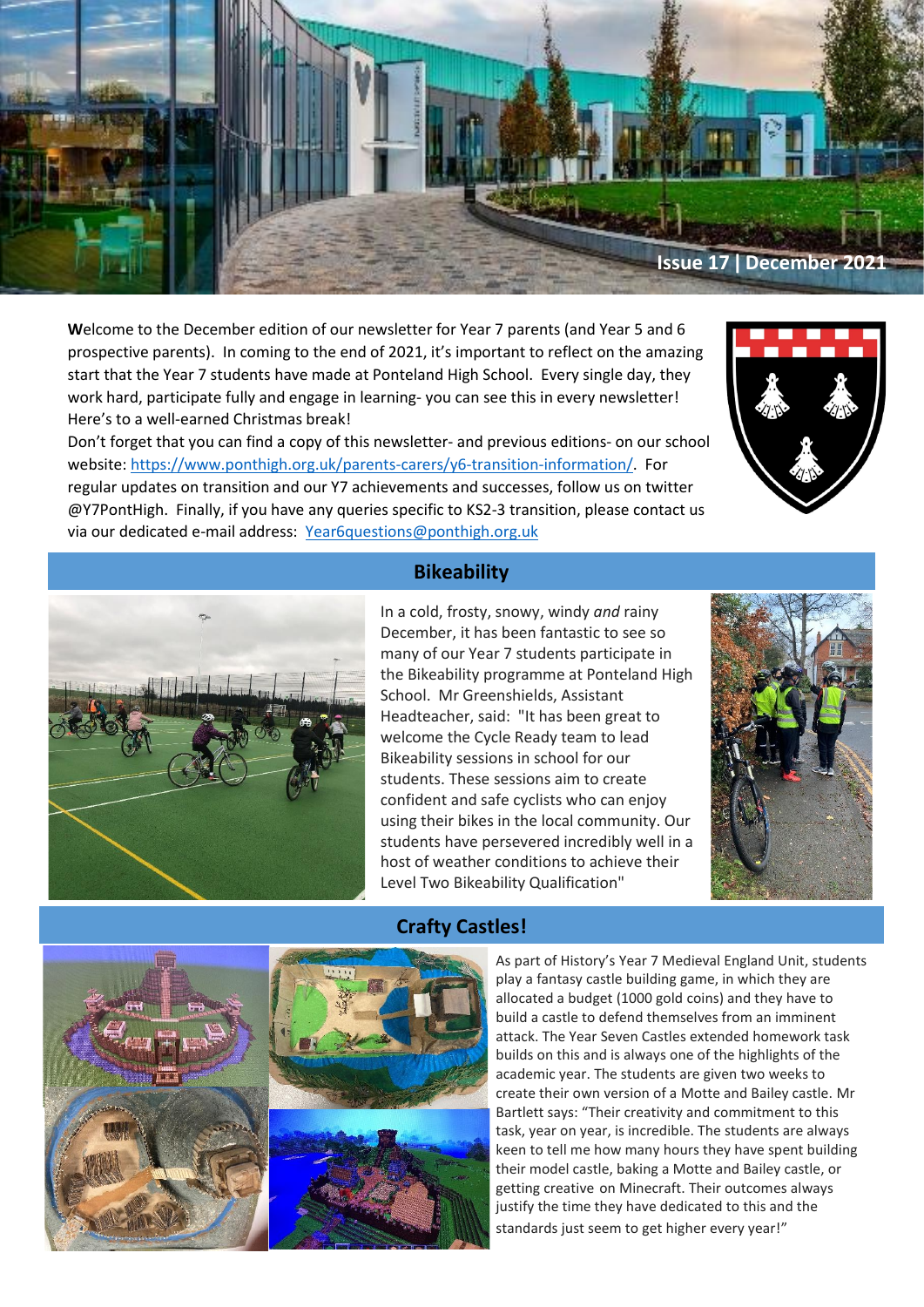

**W**elcome to the December edition of our newsletter for Year 7 parents (and Year 5 and 6 prospective parents). In coming to the end of 2021, it's important to reflect on the amazing start that the Year 7 students have made at Ponteland High School. Every single day, they work hard, participate fully and engage in learning- you can see this in every newsletter! Here's to a well-earned Christmas break!

Don't forget that you can find a copy of this newsletter- and previous editions- on our school website: [https://www.ponthigh.org.uk/parents-carers/y6-transition-information/.](https://www.ponthigh.org.uk/parents-carers/y6-transition-information/) For regular updates on transition and our Y7 achievements and successes, follow us on twitter @Y7PontHigh. Finally, if you have any queries specific to KS2-3 transition, please contact us via our dedicated e-mail address: [Year6questions@ponthigh.org.uk](mailto:Year6questions@ponthigh.org.uk)





# **Bikeability**

In a cold, frosty, snowy, windy *and* rainy December, it has been fantastic to see so many of our Year 7 students participate in the Bikeability programme at Ponteland High School. Mr Greenshields, Assistant Headteacher, said: "It has been great to welcome the Cycle Ready team to lead Bikeability sessions in school for our students. These sessions aim to create confident and safe cyclists who can enjoy using their bikes in the local community. Our students have persevered incredibly well in a host of weather conditions to achieve their Level Two Bikeability Qualification"



# **Crafty Castles!**

As part of History's Year 7 Medieval England Unit, students play a fantasy castle building game, in which they are allocated a budget (1000 gold coins) and they have to build a castle to defend themselves from an imminent attack. The Year Seven Castles extended homework task builds on this and is always one of the highlights of the academic year. The students are given two weeks to create their own version of a Motte and Bailey castle. Mr Bartlett says: "Their creativity and commitment to this task, year on year, is incredible. The students are always keen to tell me how many hours they have spent building their model castle, baking a Motte and Bailey castle, or getting creative on Minecraft. Their outcomes always justify the time they have dedicated to this and the standards just seem to get higher every year!"